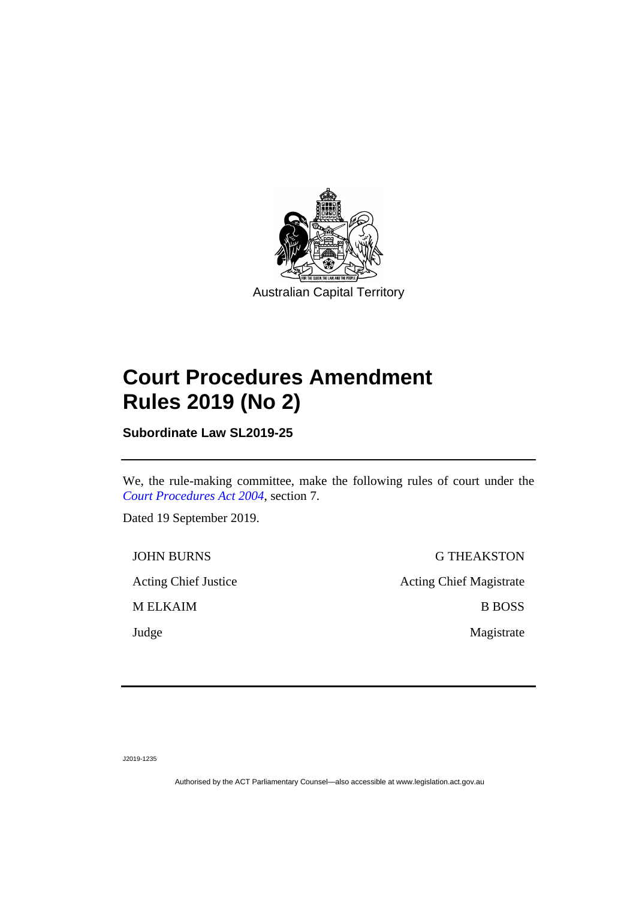

## **Court Procedures Amendment Rules 2019 (No 2)**

**Subordinate Law SL2019-25**

We, the rule-making committee, make the following rules of court under the *[Court Procedures Act 2004](http://www.legislation.act.gov.au/a/2004-59)*, section 7.

Dated 19 September 2019.

JOHN BURNS GTHEAKSTON Acting Chief Justice Acting Chief Magistrate M ELKAIM B BOSS Judge Magistrate

J2019-1235

Authorised by the ACT Parliamentary Counsel—also accessible at www.legislation.act.gov.au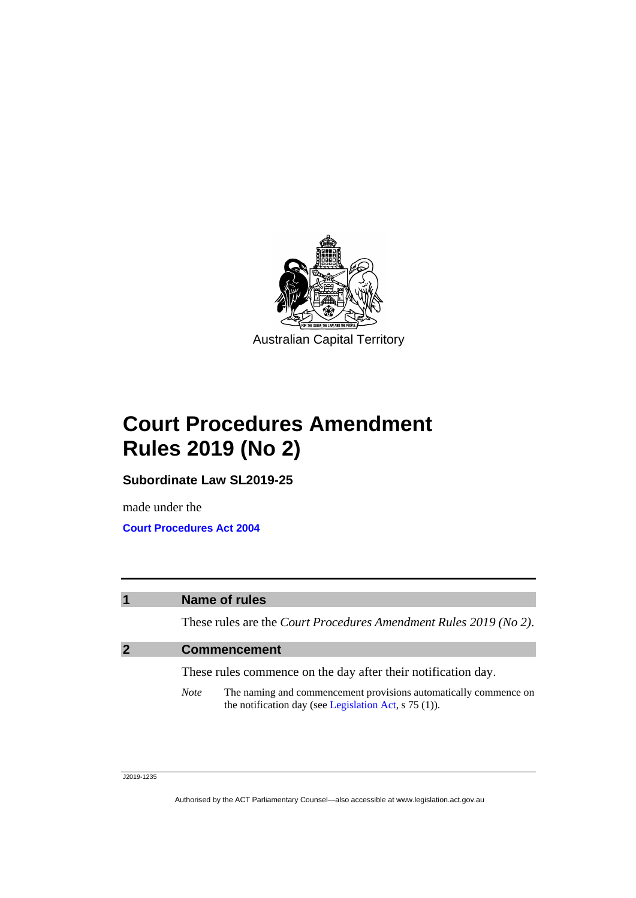

**Court Procedures Amendment Rules 2019 (No 2)**

**Subordinate Law SL2019-25**

made under the **[Court Procedures Act 2004](http://www.legislation.act.gov.au/a/2004-59)**

## **1 Name of rules**

These rules are the *Court Procedures Amendment Rules 2019 (No 2)*.

## **2 Commencement**

These rules commence on the day after their notification day.

*Note* The naming and commencement provisions automatically commence on the notification day (see [Legislation Act,](http://www.legislation.act.gov.au/a/2001-14) s 75 (1)).

J2019-1235

Authorised by the ACT Parliamentary Counsel—also accessible at www.legislation.act.gov.au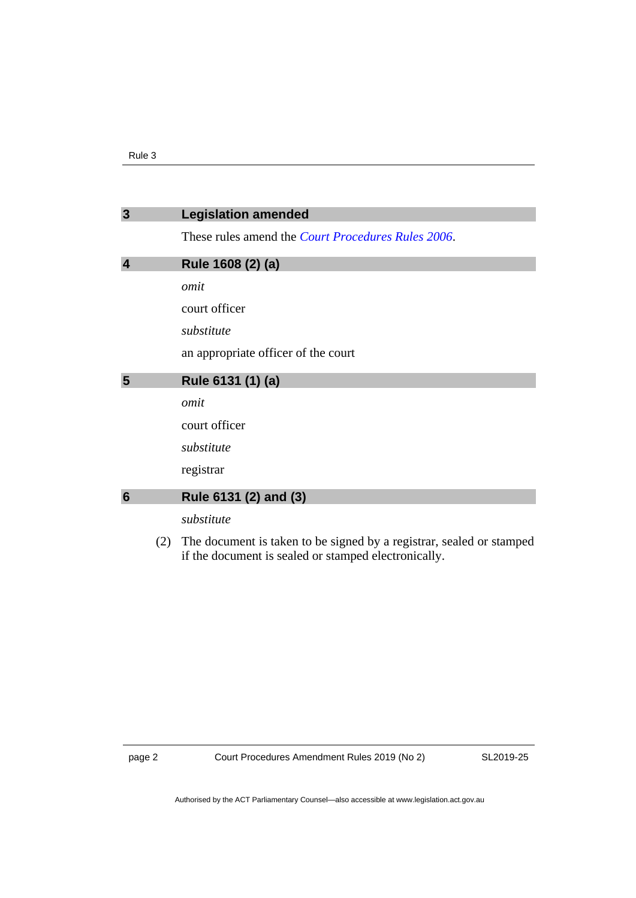| $\mathbf{3}$            |     | <b>Legislation amended</b>                                           |
|-------------------------|-----|----------------------------------------------------------------------|
|                         |     | These rules amend the <i>Court Procedures Rules</i> 2006.            |
| $\overline{\mathbf{4}}$ |     | Rule 1608 (2) (a)                                                    |
|                         |     | omit                                                                 |
|                         |     | court officer                                                        |
|                         |     | substitute                                                           |
|                         |     | an appropriate officer of the court                                  |
| 5                       |     | Rule 6131 (1) (a)                                                    |
|                         |     | omit                                                                 |
|                         |     | court officer                                                        |
|                         |     | substitute                                                           |
|                         |     | registrar                                                            |
| $6\phantom{1}6$         |     | Rule 6131 (2) and (3)                                                |
|                         |     | substitute                                                           |
|                         | (2) | The document is taken to be signed by a registrar, sealed or stamped |

if the document is sealed or stamped electronically.

SL2019-25